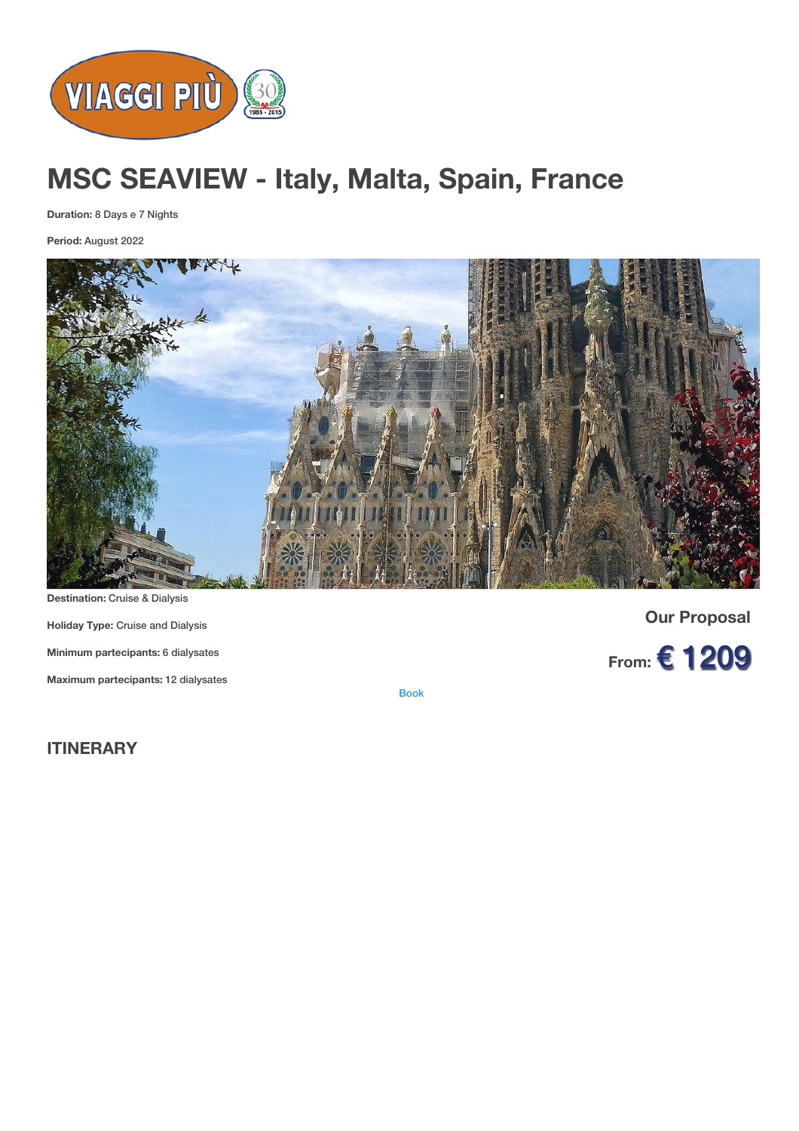

# **MSC SEAVIEW - Italy, Malta, Spain, France**

**Duration:** 8 Days e 7 Nights

**Period:** August 2022



**Holiday Type:** Cruise and Dialysis **Minimum partecipants:** 6 dialysates **Maximum partecipants:** 12 dialysates

**Our Proposal**

**From:** € 1209

[Book](https://viaggipiu.eu/index.php?option=com_offerte&view=info&id=2008&modello=offerta)

**ITINERARY**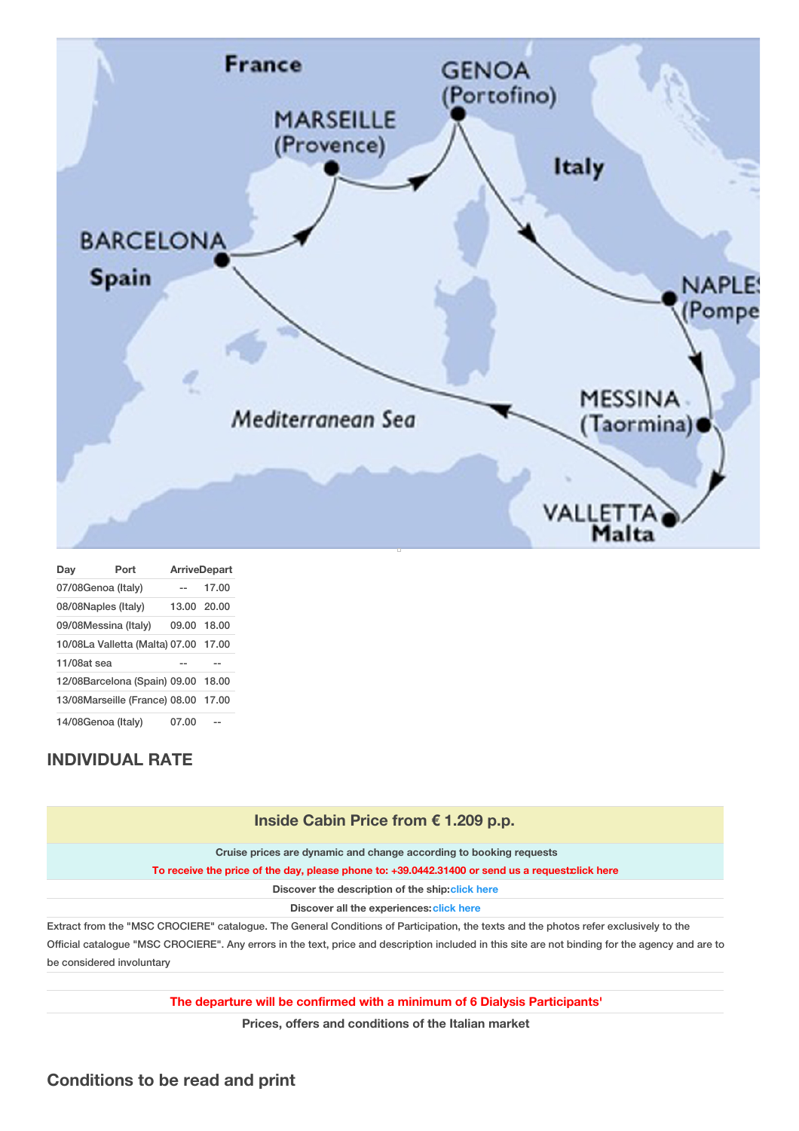

| Day                                 | Port | <b>ArriveDepart</b> |       |
|-------------------------------------|------|---------------------|-------|
| 07/08Genoa (Italy)                  |      |                     | 17.00 |
| 08/08Naples (Italy)                 |      | 13.00 20.00         |       |
| 09/08Messina (Italy)                |      | 09.00 18.00         |       |
| 10/08La Valletta (Malta) 07.00      |      |                     | 17.00 |
| $11/08$ at sea                      |      |                     |       |
| 12/08Barcelona (Spain) 09.00 18.00  |      |                     |       |
| 13/08Marseille (France) 08.00 17.00 |      |                     |       |
| 14/08Genoa (Italy)                  |      | 07.00               |       |

## **INDIVIDUAL RATE**

be considered involuntary

| Inside Cabin Price from € 1.209 p.p.                                                                                                             |  |  |  |
|--------------------------------------------------------------------------------------------------------------------------------------------------|--|--|--|
| Cruise prices are dynamic and change according to booking requests                                                                               |  |  |  |
| To receive the price of the day, please phone to: +39.0442.31400 or send us a request click here                                                 |  |  |  |
| Discover the description of the ship: click here                                                                                                 |  |  |  |
| Discover all the experiences: click here                                                                                                         |  |  |  |
| Extract from the "MSC CROCIERE" catalogue. The General Conditions of Participation, the texts and the photos refer exclusively to the            |  |  |  |
| Official catalogue "MSC CROCIERE". Any errors in the text, price and description included in this site are not binding for the agency and are to |  |  |  |

**The departure will be confirmed with a minimum of 6 Dialysis Participants'**

**Prices, offers and conditions of the Italian market**

#### **Conditions to be read and print**